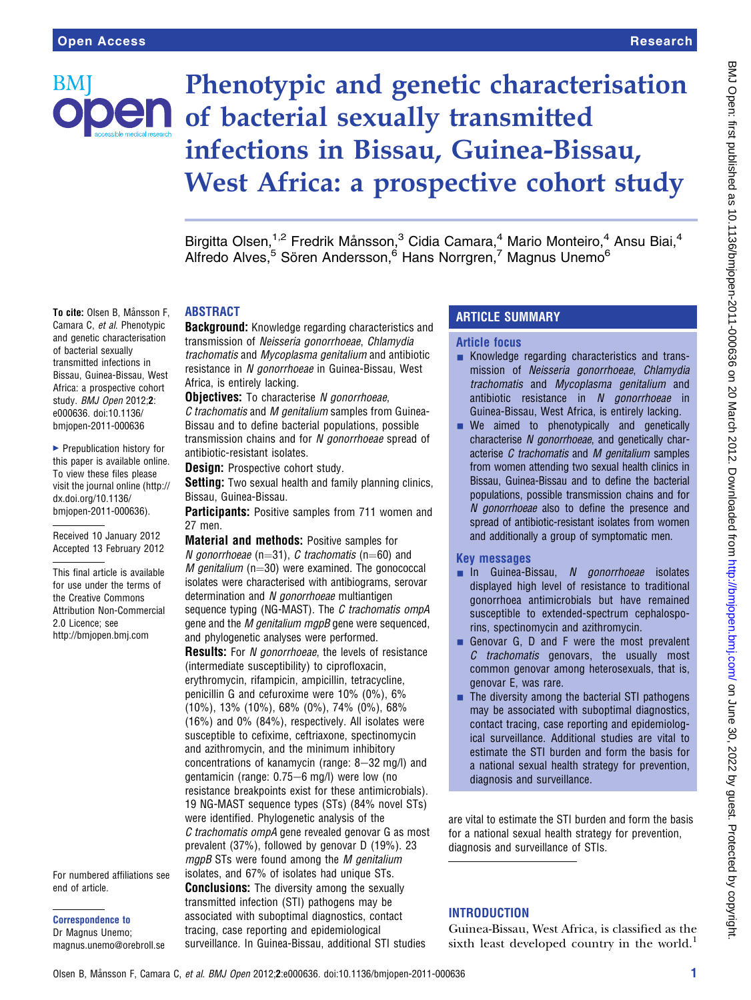BMI

# Phenotypic and genetic characterisation **en** of bacterial sexually transmitted infections in Bissau, Guinea-Bissau, West Africa: a prospective cohort study

Birgitta Olsen,<sup>1,2</sup> Fredrik Månsson,<sup>3</sup> Cidia Camara,<sup>4</sup> Mario Monteiro,<sup>4</sup> Ansu Biai,<sup>4</sup> Alfredo Alves,<sup>5</sup> Sören Andersson,<sup>6</sup> Hans Norrgren,<sup>7</sup> Magnus Unemo<sup>6</sup>

### ABSTRACT

**Background:** Knowledge regarding characteristics and transmission of Neisseria gonorrhoeae, Chlamydia trachomatis and Mycoplasma genitalium and antibiotic resistance in N gonorrhoeae in Guinea-Bissau, West Africa, is entirely lacking.

**Objectives:** To characterise N gonorrhoeae, C trachomatis and M genitalium samples from Guinea-Bissau and to define bacterial populations, possible transmission chains and for N gonorrhoeae spread of antibiotic-resistant isolates.

Design: Prospective cohort study.

**Setting:** Two sexual health and family planning clinics, Bissau, Guinea-Bissau.

Participants: Positive samples from 711 women and 27 men.

Material and methods: Positive samples for N gonorrhoeae (n=31), C trachomatis (n=60) and M genitalium ( $n=30$ ) were examined. The gonococcal isolates were characterised with antibiograms, serovar determination and N *gonorrhoeae* multiantigen sequence typing (NG-MAST). The  $C$  trachomatis ompA gene and the M genitalium mgpB gene were sequenced, and phylogenetic analyses were performed.

**Results:** For N gonorrhoeae, the levels of resistance (intermediate susceptibility) to ciprofloxacin, erythromycin, rifampicin, ampicillin, tetracycline, penicillin G and cefuroxime were 10% (0%), 6% (10%), 13% (10%), 68% (0%), 74% (0%), 68% (16%) and 0% (84%), respectively. All isolates were susceptible to cefixime, ceftriaxone, spectinomycin and azithromycin, and the minimum inhibitory concentrations of kanamycin (range:  $8-32$  mg/l) and gentamicin (range:  $0.75-6$  mg/l) were low (no resistance breakpoints exist for these antimicrobials). 19 NG-MAST sequence types (STs) (84% novel STs) were identified. Phylogenetic analysis of the C trachomatis ompA gene revealed genovar G as most prevalent (37%), followed by genovar D (19%). 23 mgpB STs were found among the M genitalium isolates, and 67% of isolates had unique STs. **Conclusions:** The diversity among the sexually transmitted infection (STI) pathogens may be associated with suboptimal diagnostics, contact tracing, case reporting and epidemiological surveillance. In Guinea-Bissau, additional STI studies

# ARTICLE SUMMARY

#### Article focus

- Knowledge regarding characteristics and transmission of Neisseria gonorrhoeae, Chlamydia trachomatis and Mycoplasma genitalium and antibiotic resistance in N gonorrhoeae in Guinea-Bissau, West Africa, is entirely lacking.
- **E** We aimed to phenotypically and genetically characterise N gonorrhoeae, and genetically characterise C trachomatis and M genitalium samples from women attending two sexual health clinics in Bissau, Guinea-Bissau and to define the bacterial populations, possible transmission chains and for N gonorrhoeae also to define the presence and spread of antibiotic-resistant isolates from women and additionally a group of symptomatic men.

## Key messages

- $\blacksquare$  In Guinea-Bissau, N gonorrhoeae isolates displayed high level of resistance to traditional gonorrhoea antimicrobials but have remained susceptible to extended-spectrum cephalosporins, spectinomycin and azithromycin.
- Genovar G, D and F were the most prevalent C trachomatis genovars, the usually most common genovar among heterosexuals, that is, genovar E, was rare.
- $\blacksquare$  The diversity among the bacterial STI pathogens may be associated with suboptimal diagnostics, contact tracing, case reporting and epidemiological surveillance. Additional studies are vital to estimate the STI burden and form the basis for a national sexual health strategy for prevention, diagnosis and surveillance.

are vital to estimate the STI burden and form the basis for a national sexual health strategy for prevention, diagnosis and surveillance of STIs.

# **INTRODUCTION**

Guinea-Bissau, West Africa, is classified as the sixth least developed country in the world.<sup>1</sup>

#### To cite: Olsen B, Månsson F, Camara C, et al. Phenotypic and genetic characterisation of bacterial sexually transmitted infections in Bissau, Guinea-Bissau, West Africa: a prospective cohort study. BMJ Open 2012;2: e000636. doi:10.1136/ bmjopen-2011-000636

**Prepublication history for** this paper is available online. To view these files please visit the journal online (http:// dx.doi.org/10.1136/ bmjopen-2011-000636).

Received 10 January 2012 Accepted 13 February 2012

This final article is available for use under the terms of the Creative Commons Attribution Non-Commercial 2.0 Licence; see http://bmjopen.bmj.com

For numbered affiliations see end of article.

## Correspondence to

Dr Magnus Unemo; magnus.unemo@orebroll.se

# Olsen B, Månsson F, Camara C, et al. BMJ Open 2012;2:e000636. doi:10.1136/bmjopen-2011-000636 1999 1999 1999 1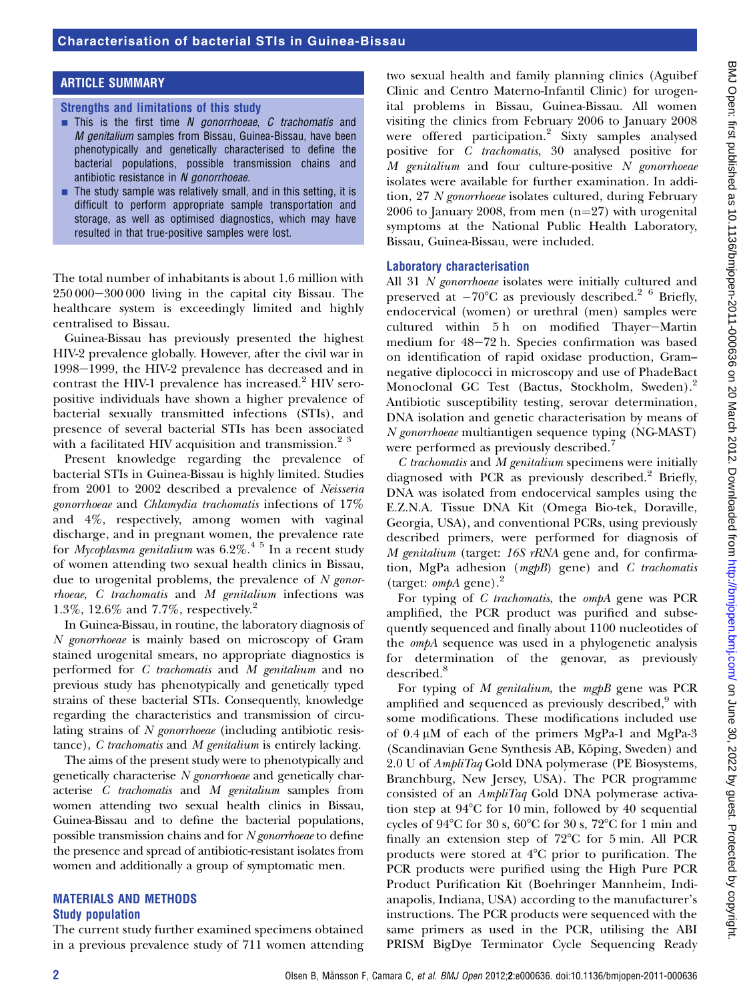# ARTICLE SUMMARY

#### Strengths and limitations of this study

- $\blacksquare$  This is the first time N gonorrhoeae, C trachomatis and M genitalium samples from Bissau, Guinea-Bissau, have been phenotypically and genetically characterised to define the bacterial populations, possible transmission chains and antibiotic resistance in N gonorrhoeae.
- $\blacksquare$  The study sample was relatively small, and in this setting, it is difficult to perform appropriate sample transportation and storage, as well as optimised diagnostics, which may have resulted in that true-positive samples were lost.

The total number of inhabitants is about 1.6 million with  $250\,000-300\,000$  living in the capital city Bissau. The healthcare system is exceedingly limited and highly centralised to Bissau.

Guinea-Bissau has previously presented the highest HIV-2 prevalence globally. However, after the civil war in 1998-1999, the HIV-2 prevalence has decreased and in contrast the HIV-1 prevalence has increased.<sup>2</sup> HIV seropositive individuals have shown a higher prevalence of bacterial sexually transmitted infections (STIs), and presence of several bacterial STIs has been associated with a facilitated HIV acquisition and transmission.<sup>2 3</sup>

Present knowledge regarding the prevalence of bacterial STIs in Guinea-Bissau is highly limited. Studies from 2001 to 2002 described a prevalence of Neisseria gonorrhoeae and Chlamydia trachomatis infections of 17% and 4%, respectively, among women with vaginal discharge, and in pregnant women, the prevalence rate for Mycoplasma genitalium was  $6.2\%$ <sup>4 5</sup> In a recent study of women attending two sexual health clinics in Bissau, due to urogenital problems, the prevalence of  $N$  gonorrhoeae, C trachomatis and M genitalium infections was 1.3%, 12.6% and 7.7%, respectively.2

In Guinea-Bissau, in routine, the laboratory diagnosis of N gonorrhoeae is mainly based on microscopy of Gram stained urogenital smears, no appropriate diagnostics is performed for C trachomatis and M genitalium and no previous study has phenotypically and genetically typed strains of these bacterial STIs. Consequently, knowledge regarding the characteristics and transmission of circulating strains of N gonorrhoeae (including antibiotic resistance), C trachomatis and M genitalium is entirely lacking.

The aims of the present study were to phenotypically and genetically characterise N gonorrhoeae and genetically characterise C trachomatis and M genitalium samples from women attending two sexual health clinics in Bissau, Guinea-Bissau and to define the bacterial populations, possible transmission chains and for N gonorrhoeae to define the presence and spread of antibiotic-resistant isolates from women and additionally a group of symptomatic men.

# MATERIALS AND METHODS Study population

The current study further examined specimens obtained in a previous prevalence study of 711 women attending

two sexual health and family planning clinics (Aguibef Clinic and Centro Materno-Infantil Clinic) for urogenital problems in Bissau, Guinea-Bissau. All women visiting the clinics from February 2006 to January 2008 were offered participation.<sup>2</sup> Sixty samples analysed positive for C trachomatis, 30 analysed positive for M genitalium and four culture-positive N gonorrhoeae isolates were available for further examination. In addition, 27 N gonorrhoeae isolates cultured, during February  $2006$  to January 2008, from men (n=27) with urogenital symptoms at the National Public Health Laboratory, Bissau, Guinea-Bissau, were included.

#### Laboratory characterisation

All 31 N gonorrhoeae isolates were initially cultured and preserved at  $-70^{\circ}$ C as previously described.<sup>2</sup> <sup>6</sup> Briefly, endocervical (women) or urethral (men) samples were cultured within 5 h on modified Thayer-Martin medium for  $48-72$  h. Species confirmation was based on identification of rapid oxidase production, Gram- negative diplococci in microscopy and use of PhadeBact Monoclonal GC Test (Bactus, Stockholm, Sweden).<sup>2</sup> Antibiotic susceptibility testing, serovar determination, DNA isolation and genetic characterisation by means of N gonorrhoeae multiantigen sequence typing (NG-MAST) were performed as previously described.<sup>7</sup>

C trachomatis and M genitalium specimens were initially diagnosed with PCR as previously described.<sup>2</sup> Briefly, DNA was isolated from endocervical samples using the E.Z.N.A. Tissue DNA Kit (Omega Bio-tek, Doraville, Georgia, USA), and conventional PCRs, using previously described primers, were performed for diagnosis of M genitalium (target: 16S rRNA gene and, for confirmation, MgPa adhesion  $(mg pB)$  gene) and C trachomatis (target:  $ombA$  gene).<sup>2</sup>

For typing of C trachomatis, the ompA gene was PCR amplified, the PCR product was purified and subsequently sequenced and finally about 1100 nucleotides of the ompA sequence was used in a phylogenetic analysis for determination of the genovar, as previously described.<sup>8</sup>

For typing of M genitalium, the mgpB gene was PCR amplified and sequenced as previously described, $9$  with some modifications. These modifications included use of  $0.4 \mu M$  of each of the primers MgPa-1 and MgPa-3 (Scandinavian Gene Synthesis AB, Köping, Sweden) and 2.0 U of AmpliTaq Gold DNA polymerase (PE Biosystems, Branchburg, New Jersey, USA). The PCR programme consisted of an AmpliTaq Gold DNA polymerase activation step at  $94^{\circ}$ C for 10 min, followed by 40 sequential cycles of  $94^{\circ}$ C for  $30$  s,  $60^{\circ}$ C for  $30$  s,  $72^{\circ}$ C for 1 min and finally an extension step of  $72^{\circ}$ C for 5 min. All PCR products were stored at  $4^{\circ}$ C prior to purification. The PCR products were purified using the High Pure PCR Product Purification Kit (Boehringer Mannheim, Indianapolis, Indiana, USA) according to the manufacturer's instructions. The PCR products were sequenced with the same primers as used in the PCR, utilising the ABI PRISM BigDye Terminator Cycle Sequencing Ready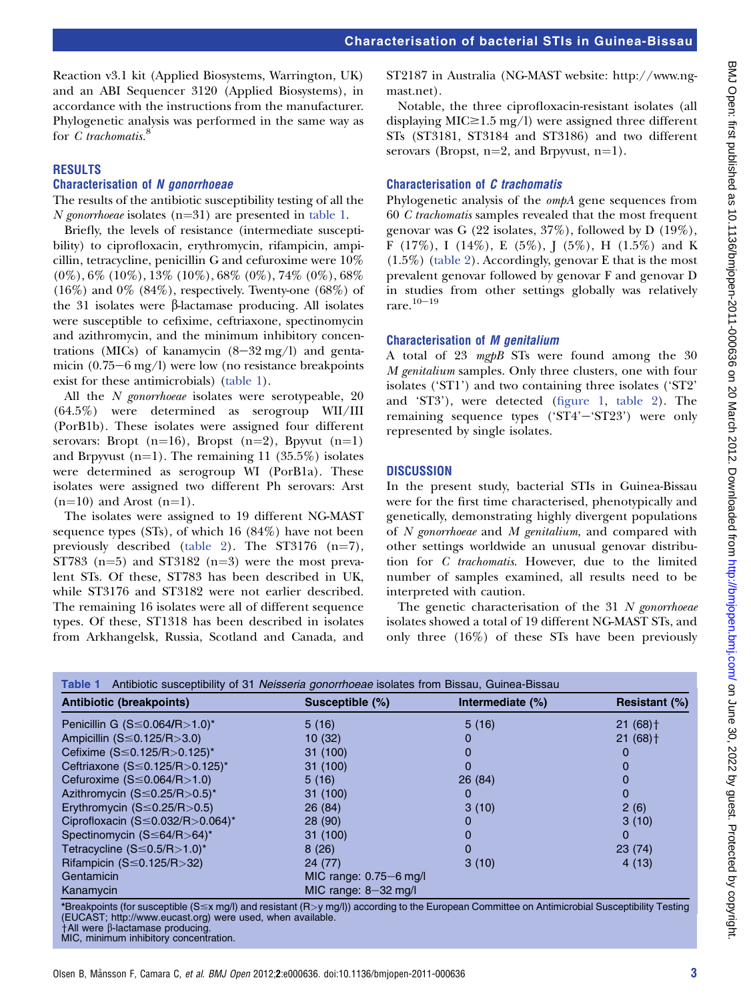Reaction v3.1 kit (Applied Biosystems, Warrington, UK) and an ABI Sequencer 3120 (Applied Biosystems), in accordance with the instructions from the manufacturer. Phylogenetic analysis was performed in the same way as for  $C$  trachomatis.<sup>8</sup>

#### RESULTS

#### Characterisation of N gonorrhoeae

The results of the antibiotic susceptibility testing of all the N gonorrhoeae isolates  $(n=31)$  are presented in table 1.

Briefly, the levels of resistance (intermediate susceptibility) to ciprofloxacin, erythromycin, rifampicin, ampicillin, tetracycline, penicillin G and cefuroxime were 10%  $(0\%)$ ,  $6\%$   $(10\%)$ ,  $13\%$   $(10\%)$ ,  $68\%$   $(0\%)$ ,  $74\%$   $(0\%)$ ,  $68\%$ (16%) and 0% (84%), respectively. Twenty-one (68%) of the 31 isolates were  $\beta$ -lactamase producing. All isolates were susceptible to cefixime, ceftriaxone, spectinomycin and azithromycin, and the minimum inhibitory concentrations (MICs) of kanamycin  $(8-32 \text{ mg/l})$  and gentamicin  $(0.75-6 \text{ mg/l})$  were low (no resistance breakpoints exist for these antimicrobials) (table 1).

All the N gonorrhoeae isolates were serotypeable, 20 (64.5%) were determined as serogroup WII/III (PorB1b). These isolates were assigned four different serovars: Bropt  $(n=16)$ , Bropst  $(n=2)$ , Bpyvut  $(n=1)$ and Brpyvust  $(n=1)$ . The remaining 11 (35.5%) isolates were determined as serogroup WI (PorB1a). These isolates were assigned two different Ph serovars: Arst  $(n=10)$  and Arost  $(n=1)$ .

The isolates were assigned to 19 different NG-MAST sequence types (STs), of which 16 (84%) have not been previously described (table 2). The ST3176  $(n=7)$ ,  $ST783$  (n=5) and  $ST3182$  (n=3) were the most prevalent STs. Of these, ST783 has been described in UK, while ST3176 and ST3182 were not earlier described. The remaining 16 isolates were all of different sequence types. Of these, ST1318 has been described in isolates from Arkhangelsk, Russia, Scotland and Canada, and ST2187 in Australia (NG-MAST website: http://www.ngmast.net).

Notable, the three ciprofloxacin-resistant isolates (all displaying MIC $\ge$ 1.5 mg/l) were assigned three different STs (ST3181, ST3184 and ST3186) and two different serovars (Bropst,  $n=2$ , and Brpyvust,  $n=1$ ).

#### Characterisation of C trachomatis

Phylogenetic analysis of the ompA gene sequences from 60 C trachomatis samples revealed that the most frequent genovar was G (22 isolates, 37%), followed by D (19%), F (17%), I (14%), E (5%), J (5%), H (1.5%) and K (1.5%) (table 2). Accordingly, genovar E that is the most prevalent genovar followed by genovar F and genovar D in studies from other settings globally was relatively  $rare.$ <sup>10-19</sup>

#### Characterisation of M genitalium

A total of 23 mgpB STs were found among the 30 M genitalium samples. Only three clusters, one with four isolates ('ST1') and two containing three isolates ('ST2' and 'ST3'), were detected (figure 1, table 2). The remaining sequence types ('ST4'-'ST23') were only represented by single isolates.

#### **DISCUSSION**

In the present study, bacterial STIs in Guinea-Bissau were for the first time characterised, phenotypically and genetically, demonstrating highly divergent populations of N gonorrhoeae and M genitalium, and compared with other settings worldwide an unusual genovar distribution for C trachomatis. However, due to the limited number of samples examined, all results need to be interpreted with caution.

The genetic characterisation of the 31 N gonorrhoeae isolates showed a total of 19 different NG-MAST STs, and only three (16%) of these STs have been previously

| <b>Antibiotic (breakpoints)</b>           | Susceptible (%)            | Intermediate $(\%)$ | Resistant (%)         |
|-------------------------------------------|----------------------------|---------------------|-----------------------|
| Penicillin G $(S \le 0.064/R > 1.0)^*$    | 5(16)                      | 5(16)               | $21(68)$ <sup>+</sup> |
| Ampicillin $(S \le 0.125/R > 3.0)$        | 10(32)                     | O                   | $21(68)$ <sup>+</sup> |
| Cefixime $(S \le 0.125/R > 0.125)^*$      | 31(100)                    |                     |                       |
| Ceftriaxone $(S \le 0.125/R > 0.125)^*$   | 31(100)                    | O                   |                       |
| Cefuroxime $(S \le 0.064/R > 1.0)$        | 5(16)                      | 26(84)              |                       |
| Azithromycin $(S \le 0.25/R > 0.5)^*$     | 31(100)                    | 0                   | O                     |
| Erythromycin $(S \le 0.25/R > 0.5)$       | 26(84)                     | 3(10)               | 2(6)                  |
| Ciprofloxacin $(S \le 0.032/R > 0.064)^*$ | 28(90)                     | O                   | 3(10)                 |
| Spectinomycin $(S \leq 64/R > 64)^*$      | 31(100)                    |                     | 0                     |
| Tetracycline $(S \le 0.5/R > 1.0)^*$      | 8(26)                      | 0                   | 23(74)                |
| Rifampicin $(S \le 0.125/R > 32)$         | 24(77)                     | 3(10)               | 4(13)                 |
| Gentamicin                                | MIC range: $0.75 - 6$ mg/l |                     |                       |
| Kanamycin                                 | MIC range: $8-32$ mg/l     |                     |                       |

\*Breakpoints (for susceptible (S $\leq$ x mg/l) and resistant (R $>$ y mg/l)) according to the European Committee on Antimicrobial Susceptibility Testing (EUCAST; http://www.eucast.org) were used, when available. All were  $\beta$ -lactamase producing MIC, minimum inhibitory concentration.

Olsen B, Ma˚nsson F, Camara C, et al. BMJ Open 2012;2:e000636. doi:10.1136/bmjopen-2011-000636 3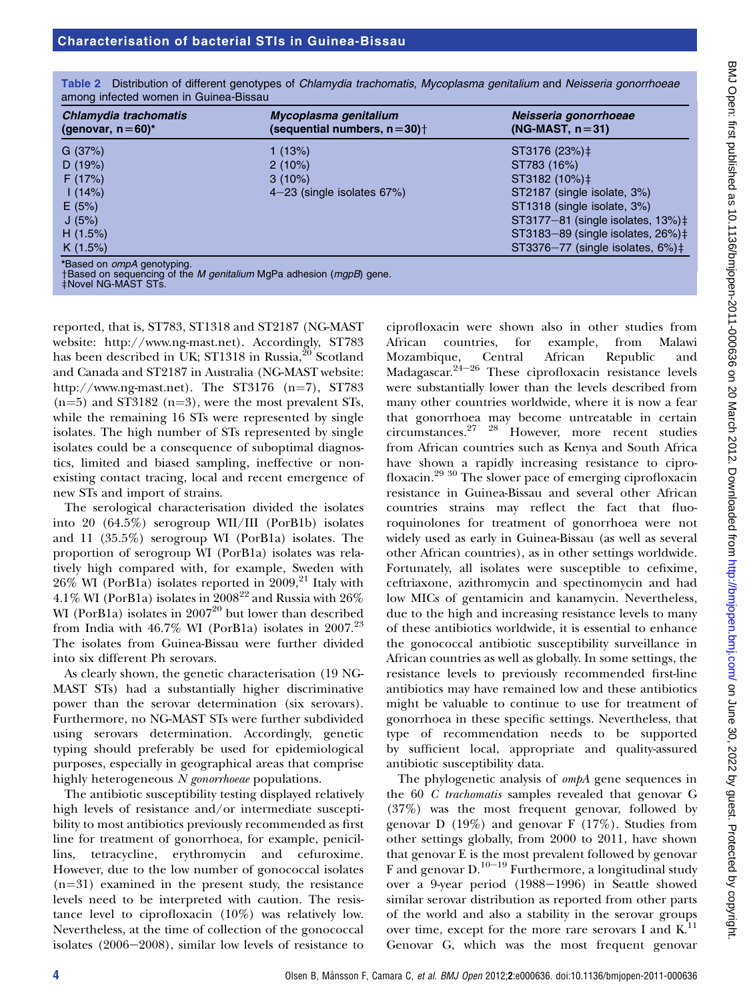| Chlamydia trachomatis<br>(genovar, $n = 60$ )* | Mycoplasma genitalium<br>(sequential numbers, $n = 30$ ) $\dagger$ | Neisseria gonorrhoeae<br>$(NG-MAST, n=31)$      |
|------------------------------------------------|--------------------------------------------------------------------|-------------------------------------------------|
| G(37%)                                         | 1 (13%)                                                            | ST3176 (23%)‡                                   |
| D $(19%)$                                      | $2(10\%)$                                                          | ST783 (16%)                                     |
| F(17%)                                         | $3(10\%)$                                                          | ST3182 (10%)‡                                   |
| (14%)                                          | $4-23$ (single isolates 67%)                                       | ST2187 (single isolate, 3%)                     |
| E(5%)                                          |                                                                    | ST1318 (single isolate, 3%)                     |
| J(5%)                                          |                                                                    | ST3177-81 (single isolates, $13\%$ ) $\ddagger$ |
| H(1.5%)                                        |                                                                    | ST3183-89 (single isolates, 26%)‡               |
| K(1.5%)                                        |                                                                    | ST3376-77 (single isolates, $6\%$ ) $\ddagger$  |

Table 2 Distribution of different genotypes of Chlamydia trachomatis, Mycoplasma genitalium and Neisseria gonorrhoeae among infected women in Guinea-Bissau

†Based on sequencing of the *M genitalium* MgPa adhesion (*mgpB*) gene.<br>‡Novel NG-MAST STs.

reported, that is, ST783, ST1318 and ST2187 (NG-MAST website: http://www.ng-mast.net). Accordingly, ST783 has been described in UK; ST1318 in Russia, $^{20}$  Scotland and Canada and ST2187 in Australia (NG-MAST website: http://www.ng-mast.net). The ST3176  $(n=7)$ , ST783  $(n=5)$  and ST3182 (n=3), were the most prevalent STs, while the remaining 16 STs were represented by single isolates. The high number of STs represented by single isolates could be a consequence of suboptimal diagnostics, limited and biased sampling, ineffective or nonexisting contact tracing, local and recent emergence of new STs and import of strains.

The serological characterisation divided the isolates into 20 (64.5%) serogroup WII/III (PorB1b) isolates and 11 (35.5%) serogroup WI (PorB1a) isolates. The proportion of serogroup WI (PorB1a) isolates was relatively high compared with, for example, Sweden with  $26\%$  WI (PorB1a) isolates reported in  $2009$ <sup>21</sup> Italy with 4.1% WI (PorB1a) isolates in  $2008^{22}$  and Russia with  $26\%$ WI (PorB1a) isolates in  $2007^{20}$  but lower than described from India with  $46.7\%$  WI (PorB1a) isolates in  $2007<sup>23</sup>$ The isolates from Guinea-Bissau were further divided into six different Ph serovars.

As clearly shown, the genetic characterisation (19 NG-MAST STs) had a substantially higher discriminative power than the serovar determination (six serovars). Furthermore, no NG-MAST STs were further subdivided using serovars determination. Accordingly, genetic typing should preferably be used for epidemiological purposes, especially in geographical areas that comprise highly heterogeneous N gonorrhoeae populations.

The antibiotic susceptibility testing displayed relatively high levels of resistance and/or intermediate susceptibility to most antibiotics previously recommended as first line for treatment of gonorrhoea, for example, penicillins, tetracycline, erythromycin and cefuroxime. However, due to the low number of gonococcal isolates  $(n=31)$  examined in the present study, the resistance levels need to be interpreted with caution. The resistance level to ciprofloxacin (10%) was relatively low. Nevertheless, at the time of collection of the gonococcal isolates  $(2006-2008)$ , similar low levels of resistance to

ciprofloxacin were shown also in other studies from African countries, for example, from Malawi Mozambique, Central African Republic and Madagascar. $24-26$  These ciprofloxacin resistance levels were substantially lower than the levels described from many other countries worldwide, where it is now a fear that gonorrhoea may become untreatable in certain circumstances.27 28 However, more recent studies from African countries such as Kenya and South Africa have shown a rapidly increasing resistance to ciprofloxacin.29 30 The slower pace of emerging ciprofloxacin resistance in Guinea-Bissau and several other African countries strains may reflect the fact that fluoroquinolones for treatment of gonorrhoea were not widely used as early in Guinea-Bissau (as well as several other African countries), as in other settings worldwide. Fortunately, all isolates were susceptible to cefixime, ceftriaxone, azithromycin and spectinomycin and had low MICs of gentamicin and kanamycin. Nevertheless, due to the high and increasing resistance levels to many of these antibiotics worldwide, it is essential to enhance the gonococcal antibiotic susceptibility surveillance in African countries as well as globally. In some settings, the resistance levels to previously recommended first-line antibiotics may have remained low and these antibiotics might be valuable to continue to use for treatment of gonorrhoea in these specific settings. Nevertheless, that type of recommendation needs to be supported by sufficient local, appropriate and quality-assured antibiotic susceptibility data.

The phylogenetic analysis of *ompA* gene sequences in the 60 C trachomatis samples revealed that genovar G (37%) was the most frequent genovar, followed by genovar D (19%) and genovar F (17%). Studies from other settings globally, from 2000 to 2011, have shown that genovar E is the most prevalent followed by genovar F and genovar  $D^{10-19}$  Furthermore, a longitudinal study over a 9-year period  $(1988-1996)$  in Seattle showed similar serovar distribution as reported from other parts of the world and also a stability in the serovar groups over time, except for the more rare serovars I and  $K$ <sup>11</sup> Genovar G, which was the most frequent genovar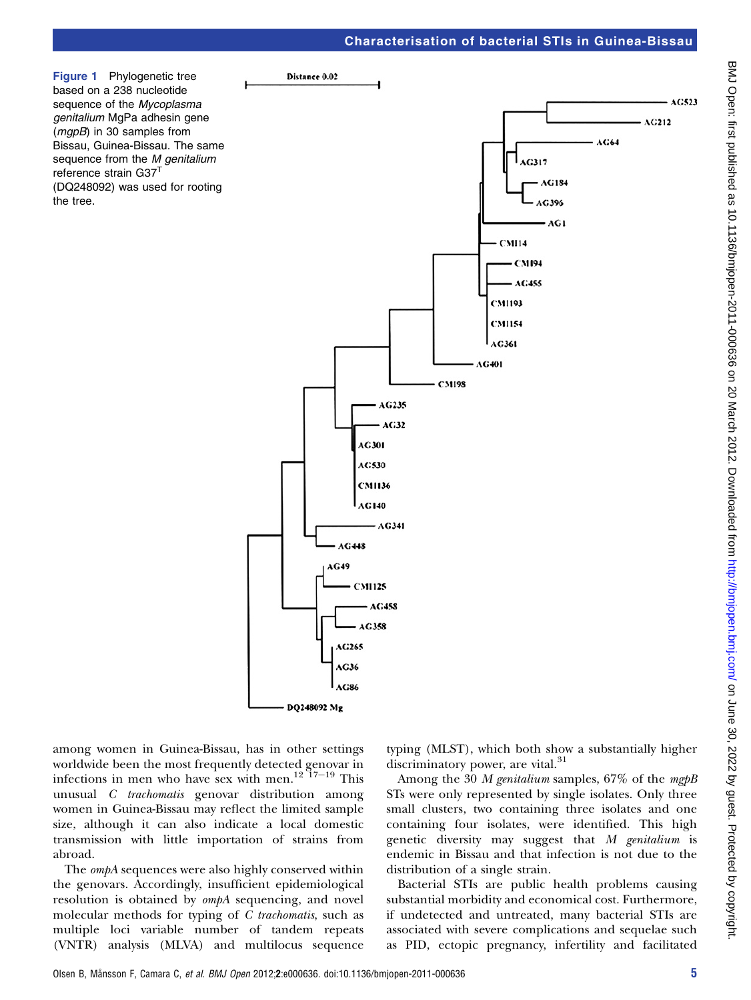# Characterisation of bacterial STIs in Guinea-Bissau

Figure 1 Phylogenetic tree based on a 238 nucleotide sequence of the Mycoplasma genitalium MgPa adhesin gene (mgpB) in 30 samples from Bissau, Guinea-Bissau. The same sequence from the M genitalium reference strain G37<sup>T</sup> (DQ248092) was used for rooting the tree.



among women in Guinea-Bissau, has in other settings worldwide been the most frequently detected genovar in infections in men who have sex with men.<sup>12 17-19</sup> This unusual C trachomatis genovar distribution among women in Guinea-Bissau may reflect the limited sample size, although it can also indicate a local domestic transmission with little importation of strains from abroad.

The *ompA* sequences were also highly conserved within the genovars. Accordingly, insufficient epidemiological resolution is obtained by ompA sequencing, and novel molecular methods for typing of C trachomatis, such as multiple loci variable number of tandem repeats (VNTR) analysis (MLVA) and multilocus sequence

typing (MLST), which both show a substantially higher discriminatory power, are vital.<sup>31</sup>

Among the 30 M genitalium samples, 67% of the mgpB STs were only represented by single isolates. Only three small clusters, two containing three isolates and one containing four isolates, were identified. This high genetic diversity may suggest that M genitalium is endemic in Bissau and that infection is not due to the distribution of a single strain.

Bacterial STIs are public health problems causing substantial morbidity and economical cost. Furthermore, if undetected and untreated, many bacterial STIs are associated with severe complications and sequelae such as PID, ectopic pregnancy, infertility and facilitated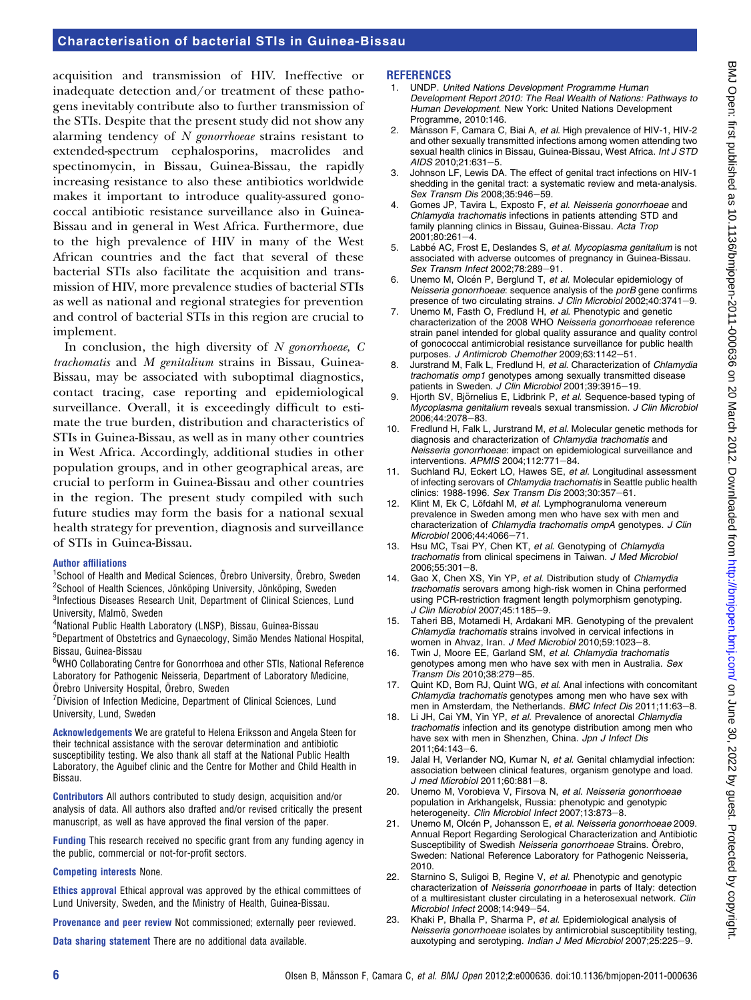# Characterisation of bacterial STIs in Guinea-Bissau

acquisition and transmission of HIV. Ineffective or inadequate detection and/or treatment of these pathogens inevitably contribute also to further transmission of the STIs. Despite that the present study did not show any alarming tendency of N gonorrhoeae strains resistant to extended-spectrum cephalosporins, macrolides and spectinomycin, in Bissau, Guinea-Bissau, the rapidly increasing resistance to also these antibiotics worldwide makes it important to introduce quality-assured gonococcal antibiotic resistance surveillance also in Guinea-Bissau and in general in West Africa. Furthermore, due to the high prevalence of HIV in many of the West African countries and the fact that several of these bacterial STIs also facilitate the acquisition and transmission of HIV, more prevalence studies of bacterial STIs as well as national and regional strategies for prevention and control of bacterial STIs in this region are crucial to implement.

In conclusion, the high diversity of  $N$  gonorrhoeae,  $C$ trachomatis and M genitalium strains in Bissau, Guinea-Bissau, may be associated with suboptimal diagnostics, contact tracing, case reporting and epidemiological surveillance. Overall, it is exceedingly difficult to estimate the true burden, distribution and characteristics of STIs in Guinea-Bissau, as well as in many other countries in West Africa. Accordingly, additional studies in other population groups, and in other geographical areas, are crucial to perform in Guinea-Bissau and other countries in the region. The present study compiled with such future studies may form the basis for a national sexual health strategy for prevention, diagnosis and surveillance of STIs in Guinea-Bissau.

#### Author affiliations

<sup>1</sup>School of Health and Medical Sciences, Örebro University, Örebro, Sweden <sup>2</sup>School of Health Sciences, Jönköping University, Jönköping, Sweden <sup>3</sup>Infectious Diseases Research Unit, Department of Clinical Sciences, Lund University, Malmö, Sweden

4 National Public Health Laboratory (LNSP), Bissau, Guinea-Bissau

 $^5$ Department of Obstetrics and Gynaecology, Simão Mendes National Hospital, Bissau, Guinea-Bissau

 $^6$ WHO Collaborating Centre for Gonorrhoea and other STIs, National Reference Laboratory for Pathogenic Neisseria, Department of Laboratory Medicine, Örebro University Hospital, Örebro, Sweden

<sup>7</sup>Division of Infection Medicine, Department of Clinical Sciences, Lund University, Lund, Sweden

Acknowledgements We are grateful to Helena Eriksson and Angela Steen for their technical assistance with the serovar determination and antibiotic susceptibility testing. We also thank all staff at the National Public Health Laboratory, the Aguibef clinic and the Centre for Mother and Child Health in Bissau.

Contributors All authors contributed to study design, acquisition and/or analysis of data. All authors also drafted and/or revised critically the present manuscript, as well as have approved the final version of the paper.

Funding This research received no specific grant from any funding agency in the public, commercial or not-for-profit sectors.

#### Competing interests None.

Ethics approval Ethical approval was approved by the ethical committees of Lund University, Sweden, and the Ministry of Health, Guinea-Bissau.

Provenance and peer review Not commissioned; externally peer reviewed.

Data sharing statement There are no additional data available.

#### **REFERENCES**

- 1. UNDP. United Nations Development Programme Human Development Report 2010: The Real Wealth of Nations: Pathways to Human Development. New York: United Nations Development Programme, 2010:146.
- Månsson F, Camara C, Biai A, et al. High prevalence of HIV-1, HIV-2 and other sexually transmitted infections among women attending two sexual health clinics in Bissau, Guinea-Bissau, West Africa. Int J STD AIDS 2010;21:631-5.
- 3. Johnson LF, Lewis DA. The effect of genital tract infections on HIV-1 shedding in the genital tract: a systematic review and meta-analysis. Sex Transm Dis 2008;35:946-59.
- 4. Gomes JP, Tavira L, Exposto F, et al. Neisseria gonorrhoeae and Chlamydia trachomatis infections in patients attending STD and family planning clinics in Bissau, Guinea-Bissau. Acta Trop  $2001;80:261 - 4.$
- 5. Labbé AC, Frost E, Deslandes S, et al. Mycoplasma genitalium is not associated with adverse outcomes of pregnancy in Guinea-Bissau. Sex Transm Infect 2002;78:289-91.
- Unemo M, Olcén P, Berglund T, et al. Molecular epidemiology of Neisseria gonorrhoeae: sequence analysis of the porB gene confirms presence of two circulating strains. J Clin Microbiol 2002;40:3741-9.
- 7. Unemo M, Fasth O, Fredlund H, et al. Phenotypic and genetic characterization of the 2008 WHO Neisseria gonorrhoeae reference strain panel intended for global quality assurance and quality control of gonococcal antimicrobial resistance surveillance for public health purposes. J Antimicrob Chemother 2009;63:1142-51.
- 8. Jurstrand M, Falk L, Fredlund H, et al. Characterization of Chlamydia trachomatis omp1 genotypes among sexually transmitted disease patients in Sweden. J Clin Microbiol 2001;39:3915-19.
- Hjorth SV, Björnelius E, Lidbrink P, et al. Sequence-based typing of Mycoplasma genitalium reveals sexual transmission. J Clin Microbiol 2006:44:2078-83.
- 10. Fredlund H, Falk L, Jurstrand M, et al. Molecular genetic methods for diagnosis and characterization of Chlamydia trachomatis and Neisseria gonorrhoeae: impact on epidemiological surveillance and interventions. APMIS 2004;112:771-84.
- 11. Suchland RJ, Eckert LO, Hawes SE, et al. Longitudinal assessment of infecting serovars of Chlamydia trachomatis in Seattle public health clinics: 1988-1996. Sex Transm Dis 2003;30:357-61.
- 12. Klint M, Ek C, Löfdahl M, et al. Lymphogranuloma venereum prevalence in Sweden among men who have sex with men and characterization of Chlamydia trachomatis ompA genotypes. J Clin Microbiol 2006;44:4066-71.
- 13. Hsu MC, Tsai PY, Chen KT, et al. Genotyping of Chlamydia trachomatis from clinical specimens in Taiwan. J Med Microbiol  $2006:55:301 - 8$
- 14. Gao X, Chen XS, Yin YP, et al. Distribution study of Chlamydia trachomatis serovars among high-risk women in China performed using PCR-restriction fragment length polymorphism genotyping. J Clin Microbiol 2007;45:1185-9.
- 15. Taheri BB, Motamedi H, Ardakani MR. Genotyping of the prevalent Chlamydia trachomatis strains involved in cervical infections in women in Ahvaz, Iran. J Med Microbiol 2010;59:1023-8.
- 16. Twin J, Moore EE, Garland SM, et al. Chlamydia trachomatis genotypes among men who have sex with men in Australia. Sex Transm Dis 2010:38:279-85.
- 17. Quint KD, Bom RJ, Quint WG, et al. Anal infections with concomitant Chlamydia trachomatis genotypes among men who have sex with men in Amsterdam, the Netherlands. BMC Infect Dis 2011;11:63-8.
- 18. Li JH, Cai YM, Yin YP, et al. Prevalence of anorectal Chlamydia trachomatis infection and its genotype distribution among men who have sex with men in Shenzhen, China. Jpn J Infect Dis 2011;64:143-6.
- 19. Jalal H, Verlander NQ, Kumar N, et al. Genital chlamydial infection: association between clinical features, organism genotype and load.  $J$  med Microbiol 2011;60:881-8.
- 20. Unemo M, Vorobieva V, Firsova N, et al. Neisseria gonorrhoeae population in Arkhangelsk, Russia: phenotypic and genotypic heterogeneity. Clin Microbiol Infect 2007;13:873-8.
- 21. Unemo M, Olcén P, Johansson E, et al. Neisseria gonorrhoeae 2009. Annual Report Regarding Serological Characterization and Antibiotic Susceptibility of Swedish Neisseria gonorrhoeae Strains. Orebro, Sweden: National Reference Laboratory for Pathogenic Neisseria, 2010.
- 22. Starnino S, Suligoi B, Regine V, et al. Phenotypic and genotypic characterization of Neisseria gonorrhoeae in parts of Italy: detection of a multiresistant cluster circulating in a heterosexual network. Clin Microbiol Infect 2008;14:949-54.
- 23. Khaki P, Bhalla P, Sharma P, et al. Epidemiological analysis of Neisseria gonorrhoeae isolates by antimicrobial susceptibility testing, auxotyping and serotyping. Indian J Med Microbiol 2007;25:225-9.